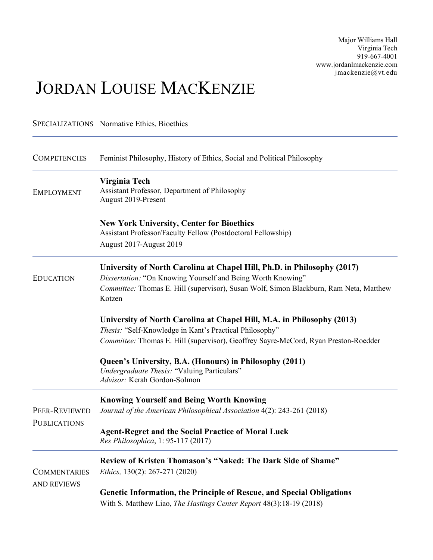Major Williams Hall Virginia Tech 919-667-4001 www.jordanlmackenzie.com jmackenzie@vt.edu

# JORDAN LOUISE MACKENZIE

|                                           | <b>SPECIALIZATIONS</b> Normative Ethics, Bioethics                                                                                                                                                                                         |
|-------------------------------------------|--------------------------------------------------------------------------------------------------------------------------------------------------------------------------------------------------------------------------------------------|
| <b>COMPETENCIES</b>                       | Feminist Philosophy, History of Ethics, Social and Political Philosophy                                                                                                                                                                    |
| <b>EMPLOYMENT</b>                         | Virginia Tech<br>Assistant Professor, Department of Philosophy<br>August 2019-Present                                                                                                                                                      |
|                                           | <b>New York University, Center for Bioethics</b><br>Assistant Professor/Faculty Fellow (Postdoctoral Fellowship)                                                                                                                           |
|                                           | August 2017-August 2019                                                                                                                                                                                                                    |
| <b>EDUCATION</b>                          | University of North Carolina at Chapel Hill, Ph.D. in Philosophy (2017)<br>Dissertation: "On Knowing Yourself and Being Worth Knowing"<br>Committee: Thomas E. Hill (supervisor), Susan Wolf, Simon Blackburn, Ram Neta, Matthew<br>Kotzen |
|                                           | University of North Carolina at Chapel Hill, M.A. in Philosophy (2013)<br>Thesis: "Self-Knowledge in Kant's Practical Philosophy"<br>Committee: Thomas E. Hill (supervisor), Geoffrey Sayre-McCord, Ryan Preston-Roedder                   |
|                                           | Queen's University, B.A. (Honours) in Philosophy (2011)<br>Undergraduate Thesis: "Valuing Particulars"<br>Advisor: Kerah Gordon-Solmon                                                                                                     |
|                                           | <b>Knowing Yourself and Being Worth Knowing</b>                                                                                                                                                                                            |
| PEER-REVIEWED<br><b>PUBLICATIONS</b>      | Journal of the American Philosophical Association 4(2): 243-261 (2018)                                                                                                                                                                     |
|                                           | <b>Agent-Regret and the Social Practice of Moral Luck</b><br>Res Philosophica, 1: 95-117 (2017)                                                                                                                                            |
| <b>COMMENTARIES</b><br><b>AND REVIEWS</b> | Review of Kristen Thomason's "Naked: The Dark Side of Shame"<br><i>Ethics</i> , 130(2): 267-271 (2020)                                                                                                                                     |
|                                           | <b>Genetic Information, the Principle of Rescue, and Special Obligations</b><br>With S. Matthew Liao, The Hastings Center Report 48(3):18-19 (2018)                                                                                        |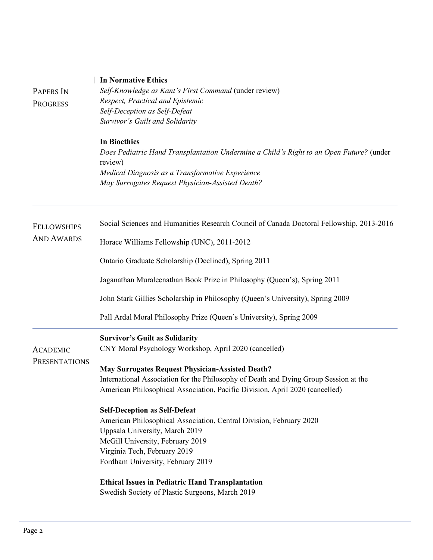|                                         | <b>In Normative Ethics</b>                                                                         |
|-----------------------------------------|----------------------------------------------------------------------------------------------------|
| PAPERS IN                               | Self-Knowledge as Kant's First Command (under review)                                              |
| <b>PROGRESS</b>                         | Respect, Practical and Epistemic                                                                   |
|                                         | Self-Deception as Self-Defeat                                                                      |
|                                         | Survivor's Guilt and Solidarity                                                                    |
|                                         | <b>In Bioethics</b>                                                                                |
|                                         | Does Pediatric Hand Transplantation Undermine a Child's Right to an Open Future? (under<br>review) |
|                                         | Medical Diagnosis as a Transformative Experience                                                   |
|                                         | May Surrogates Request Physician-Assisted Death?                                                   |
| <b>FELLOWSHIPS</b><br><b>AND AWARDS</b> | Social Sciences and Humanities Research Council of Canada Doctoral Fellowship, 2013-2016           |
|                                         | Horace Williams Fellowship (UNC), 2011-2012                                                        |
|                                         | Ontario Graduate Scholarship (Declined), Spring 2011                                               |
|                                         | Jaganathan Muraleenathan Book Prize in Philosophy (Queen's), Spring 2011                           |
|                                         | John Stark Gillies Scholarship in Philosophy (Queen's University), Spring 2009                     |
|                                         | Pall Ardal Moral Philosophy Prize (Queen's University), Spring 2009                                |
|                                         | <b>Survivor's Guilt as Solidarity</b>                                                              |
| <b>ACADEMIC</b><br>PRESENTATIONS        | CNY Moral Psychology Workshop, April 2020 (cancelled)                                              |
|                                         | <b>May Surrogates Request Physician-Assisted Death?</b>                                            |
|                                         | International Association for the Philosophy of Death and Dying Group Session at the               |
|                                         | American Philosophical Association, Pacific Division, April 2020 (cancelled)                       |
|                                         | <b>Self-Deception as Self-Defeat</b>                                                               |
|                                         | American Philosophical Association, Central Division, February 2020                                |
|                                         | Uppsala University, March 2019                                                                     |
|                                         | McGill University, February 2019                                                                   |
|                                         | Virginia Tech, February 2019<br>Fordham University, February 2019                                  |
|                                         |                                                                                                    |
|                                         | <b>Ethical Issues in Pediatric Hand Transplantation</b>                                            |
|                                         | Swedish Society of Plastic Surgeons, March 2019                                                    |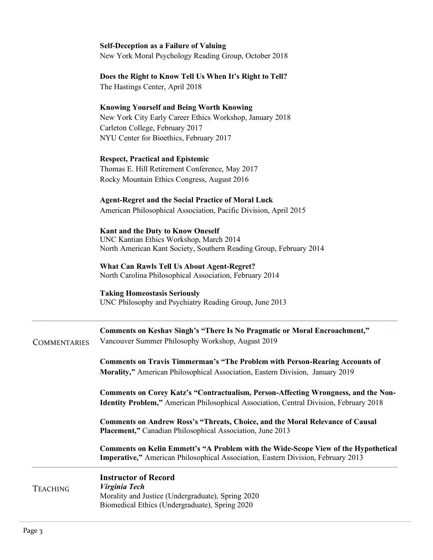# **Self-Deception as a Failure of Valuing**

New York Moral Psychology Reading Group, October 2018

# **Does the Right to Know Tell Us When It's Right to Tell?** The Hastings Center, April 2018

# **Knowing Yourself and Being Worth Knowing**

New York City Early Career Ethics Workshop, January 2018 Carleton College, February 2017 NYU Center for Bioethics, February 2017

# **Respect, Practical and Epistemic**

Thomas E. Hill Retirement Conference, May 2017 Rocky Mountain Ethics Congress, August 2016

# **Agent-Regret and the Social Practice of Moral Luck**

American Philosophical Association, Pacific Division, April 2015

### **Kant and the Duty to Know Oneself**

UNC Kantian Ethics Workshop, March 2014 North American Kant Society, Southern Reading Group, February 2014

**What Can Rawls Tell Us About Agent-Regret?**  North Carolina Philosophical Association, February 2014

### **Taking Homeostasis Seriously**

UNC Philosophy and Psychiatry Reading Group, June 2013

| <b>COMMENTARIES</b> | Comments on Keshav Singh's "There Is No Pragmatic or Moral Encroachment,"<br>Vancouver Summer Philosophy Workshop, August 2019                                                |
|---------------------|-------------------------------------------------------------------------------------------------------------------------------------------------------------------------------|
|                     | <b>Comments on Travis Timmerman's "The Problem with Person-Rearing Accounts of</b><br><b>Morality,"</b> American Philosophical Association, Eastern Division, January 2019    |
|                     | Comments on Corey Katz's "Contractualism, Person-Affecting Wrongness, and the Non-<br>Identity Problem," American Philosophical Association, Central Division, February 2018  |
|                     | <b>Comments on Andrew Ross's "Threats, Choice, and the Moral Relevance of Causal</b><br><b>Placement,"</b> Canadian Philosophical Association, June 2013                      |
|                     | Comments on Kelin Emmett's "A Problem with the Wide-Scope View of the Hypothetical<br><b>Imperative,"</b> American Philosophical Association, Eastern Division, February 2013 |
| <b>TEACHING</b>     | <b>Instructor of Record</b><br>Virginia Tech<br>Morality and Justice (Undergraduate), Spring 2020<br>Biomedical Ethics (Undergraduate), Spring 2020                           |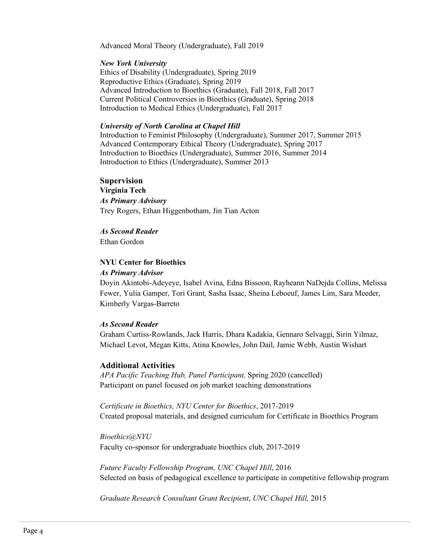Advanced Moral Theory (Undergraduate), Fall 2019

#### *New York University*

Ethics of Disability (Undergraduate), Spring 2019 Reproductive Ethics (Graduate), Spring 2019 Advanced Introduction to Bioethics (Graduate), Fall 2018, Fall 2017 Current Political Controversies in Bioethics (Graduate), Spring 2018 Introduction to Medical Ethics (Undergraduate), Fall 2017

#### *University of North Carolina at Chapel Hill*

Introduction to Feminist Philosophy (Undergraduate), Summer 2017, Summer 2015 Advanced Contemporary Ethical Theory (Undergraduate), Spring 2017 Introduction to Bioethics (Undergraduate), Summer 2016, Summer 2014 Introduction to Ethics (Undergraduate), Summer 2013

#### **Supervision**

**Virginia Tech** *As Primary Advisory* Trey Rogers, Ethan Higgenbotham, Jin Tian Acton

#### *As Second Reader*

Ethan Gordon

### **NYU Center for Bioethics**

#### *As Primary Advisor*

Doyin Akintobi-Adeyeye, Isabel Avina, Edna Bissoon, Rayheann NaDejda Collins, Melissa Fewer, Yulia Gamper, Tori Grant, Sasha Isaac, Sheina Leboeuf, James Lim, Sara Meeder, Kimberly Vargas-Barreto

#### *As Second Reader*

Graham Curtiss-Rowlands, Jack Harris, Dhara Kadakia, Gennaro Selvaggi, Sirin Yilmaz, Michael Levot, Megan Kitts, Atina Knowles, John Dail, Jamie Webb, Austin Wishart

### **Additional Activities**

*APA Pacific Teaching Hub, Panel Participant,* Spring 2020 (cancelled) Participant on panel focused on job market teaching demonstrations

*Certificate in Bioethics, NYU Center for Bioethics*, 2017-2019 Created proposal materials, and designed curriculum for Certificate in Bioethics Program

*Bioethics@NYU* Faculty co-sponsor for undergraduate bioethics club, 2017-2019

*Future Faculty Fellowship Program, UNC Chapel Hill*, 2016 Selected on basis of pedagogical excellence to participate in competitive fellowship program

*Graduate Research Consultant Grant Recipient*, *UNC Chapel Hill,* 2015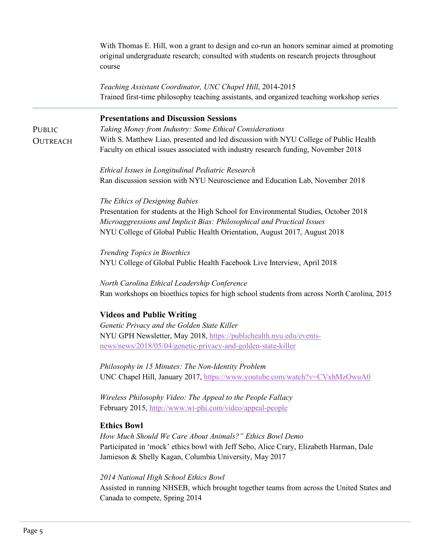With Thomas E. Hill, won a grant to design and co-run an honors seminar aimed at promoting original undergraduate research; consulted with students on research projects throughout course

*Teaching Assistant Coordinator, UNC Chapel Hill*, 2014-2015 Trained first-time philosophy teaching assistants, and organized teaching workshop series

# **Presentations and Discussion Sessions**

PUBLIC. **OUTREACH**  *Taking Money from Industry: Some Ethical Considerations* With S. Matthew Liao, presented and led discussion with NYU College of Public Health Faculty on ethical issues associated with industry research funding, November 2018

*Ethical Issues in Longitudinal Pediatric Research* Ran discussion session with NYU Neuroscience and Education Lab, November 2018

#### *The Ethics of Designing Babies*

Presentation for students at the High School for Environmental Studies, October 2018 *Microaggressions and Implicit Bias: Philosophical and Practical Issues* NYU College of Global Public Health Orientation, August 2017, August 2018

*Trending Topics in Bioethics* NYU College of Global Public Health Facebook Live Interview, April 2018

*North Carolina Ethical Leadership Conference* Ran workshops on bioethics topics for high school students from across North Carolina, 2015

### **Videos and Public Writing**

*Genetic Privacy and the Golden State Killer* NYU GPH Newsletter, May 2018, https://publichealth.nyu.edu/eventsnews/news/2018/05/04/genetic-privacy-and-golden-state-killer

*Philosophy in 15 Minutes: The Non-Identity Problem* UNC Chapel Hill, January 2017, https://www.youtube.com/watch?v=CVxhMzOwuA0

*Wireless Philosophy Video: The Appeal to the People Fallacy* February 2015, http://www.wi-phi.com/video/appeal-people

### **Ethics Bowl**

*How Much Should We Care About Animals?" Ethics Bowl Demo* Participated in 'mock' ethics bowl with Jeff Sebo, Alice Crary, Elizabeth Harman, Dale Jamieson & Shelly Kagan, Columbia University, May 2017

#### *2014 National High School Ethics Bowl*

Assisted in running NHSEB, which brought together teams from across the United States and Canada to compete, Spring 2014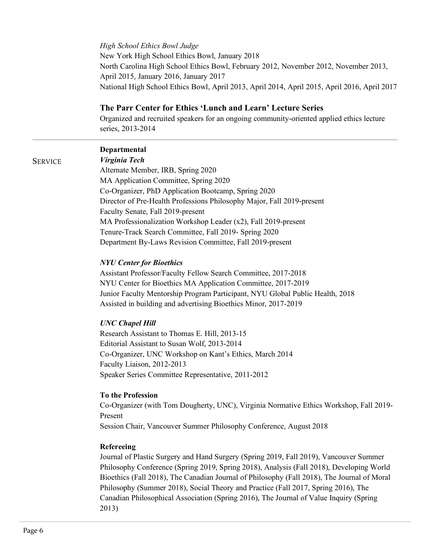#### *High School Ethics Bowl Judge*

New York High School Ethics Bowl, January 2018 North Carolina High School Ethics Bowl, February 2012, November 2012, November 2013, April 2015, January 2016, January 2017 National High School Ethics Bowl, April 2013, April 2014, April 2015, April 2016, April 2017

### **The Parr Center for Ethics 'Lunch and Learn' Lecture Series**

Organized and recruited speakers for an ongoing community-oriented applied ethics lecture series, 2013-2014

#### **Departmental**

# **SERVICE**

*Virginia Tech* Alternate Member, IRB, Spring 2020 MA Application Committee, Spring 2020 Co-Organizer, PhD Application Bootcamp, Spring 2020 Director of Pre-Health Professions Philosophy Major, Fall 2019-present Faculty Senate, Fall 2019-present MA Professionalization Workshop Leader (x2), Fall 2019-present Tenure-Track Search Committee, Fall 2019- Spring 2020 Department By-Laws Revision Committee, Fall 2019-present

#### *NYU Center for Bioethics*

Assistant Professor/Faculty Fellow Search Committee, 2017-2018 NYU Center for Bioethics MA Application Committee, 2017-2019 Junior Faculty Mentorship Program Participant, NYU Global Public Health, 2018 Assisted in building and advertising Bioethics Minor, 2017-2019

### *UNC Chapel Hill*

Research Assistant to Thomas E. Hill, 2013-15 Editorial Assistant to Susan Wolf, 2013-2014 Co-Organizer, UNC Workshop on Kant's Ethics, March 2014 Faculty Liaison, 2012-2013 Speaker Series Committee Representative, 2011-2012

#### **To the Profession**

Co-Organizer (with Tom Dougherty, UNC), Virginia Normative Ethics Workshop, Fall 2019- Present Session Chair, Vancouver Summer Philosophy Conference, August 2018

#### **Refereeing**

Journal of Plastic Surgery and Hand Surgery (Spring 2019, Fall 2019), Vancouver Summer Philosophy Conference (Spring 2019, Spring 2018), Analysis (Fall 2018), Developing World Bioethics (Fall 2018), The Canadian Journal of Philosophy (Fall 2018), The Journal of Moral Philosophy (Summer 2018), Social Theory and Practice (Fall 2017, Spring 2016), The Canadian Philosophical Association (Spring 2016), The Journal of Value Inquiry (Spring 2013)